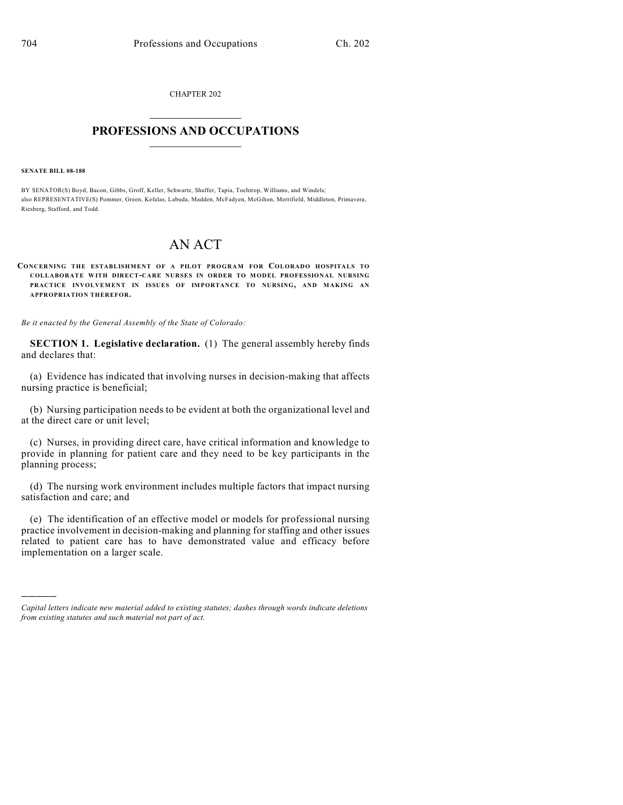CHAPTER 202  $\overline{\phantom{a}}$  . The set of the set of the set of the set of the set of the set of the set of the set of the set of the set of the set of the set of the set of the set of the set of the set of the set of the set of the set o

## **PROFESSIONS AND OCCUPATIONS**  $\frac{1}{2}$  ,  $\frac{1}{2}$  ,  $\frac{1}{2}$  ,  $\frac{1}{2}$  ,  $\frac{1}{2}$  ,  $\frac{1}{2}$

**SENATE BILL 08-188**

)))))

BY SENATOR(S) Boyd, Bacon, Gibbs, Groff, Keller, Schwartz, Shaffer, Tapia, Tochtrop, Williams, and Windels; also REPRESENTATIVE(S) Pommer, Green, Kefalas, Labuda, Madden, McFadyen, McGihon, Merrifield, Middleton, Primavera, Riesberg, Stafford, and Todd.

## AN ACT

**CONCERNING THE ESTABLISHMENT OF A PILOT PROGRAM FOR COLORADO HOSPITALS TO COLLABORATE WITH DIRECT-CARE NURSES IN ORDER TO M ODEL PROFESSIONAL NURSING PRACTICE INVOLVEMENT IN ISSUES OF IMPORTANCE TO NURSING, AND MAKING AN APPROPRIATION THEREFOR.**

*Be it enacted by the General Assembly of the State of Colorado:*

**SECTION 1. Legislative declaration.** (1) The general assembly hereby finds and declares that:

(a) Evidence has indicated that involving nurses in decision-making that affects nursing practice is beneficial;

(b) Nursing participation needs to be evident at both the organizational level and at the direct care or unit level;

(c) Nurses, in providing direct care, have critical information and knowledge to provide in planning for patient care and they need to be key participants in the planning process;

(d) The nursing work environment includes multiple factors that impact nursing satisfaction and care; and

(e) The identification of an effective model or models for professional nursing practice involvement in decision-making and planning for staffing and other issues related to patient care has to have demonstrated value and efficacy before implementation on a larger scale.

*Capital letters indicate new material added to existing statutes; dashes through words indicate deletions from existing statutes and such material not part of act.*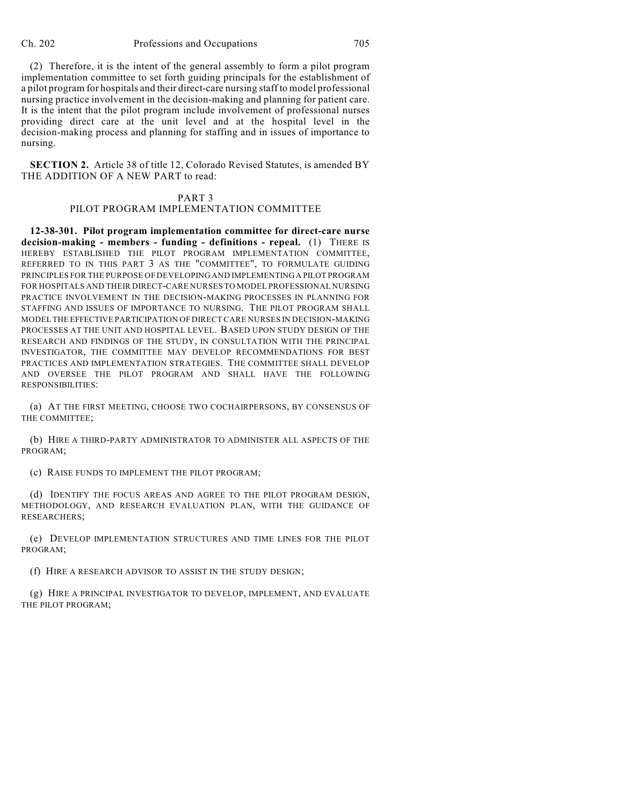(2) Therefore, it is the intent of the general assembly to form a pilot program implementation committee to set forth guiding principals for the establishment of a pilot program for hospitals and their direct-care nursing staff to model professional nursing practice involvement in the decision-making and planning for patient care. It is the intent that the pilot program include involvement of professional nurses providing direct care at the unit level and at the hospital level in the decision-making process and planning for staffing and in issues of importance to nursing.

**SECTION 2.** Article 38 of title 12, Colorado Revised Statutes, is amended BY THE ADDITION OF A NEW PART to read:

## PART 3

## PILOT PROGRAM IMPLEMENTATION COMMITTEE

**12-38-301. Pilot program implementation committee for direct-care nurse decision-making - members - funding - definitions - repeal.** (1) THERE IS HEREBY ESTABLISHED THE PILOT PROGRAM IMPLEMENTATION COMMITTEE, REFERRED TO IN THIS PART 3 AS THE "COMMITTEE", TO FORMULATE GUIDING PRINCIPLES FOR THE PURPOSE OF DEVELOPING AND IMPLEMENTING A PILOT PROGRAM FOR HOSPITALS AND THEIR DIRECT-CARE NURSES TO MODEL PROFESSIONAL NURSING PRACTICE INVOLVEMENT IN THE DECISION-MAKING PROCESSES IN PLANNING FOR STAFFING AND ISSUES OF IMPORTANCE TO NURSING. THE PILOT PROGRAM SHALL MODEL THE EFFECTIVE PARTICIPATION OF DIRECT CARE NURSES IN DECISION-MAKING PROCESSES AT THE UNIT AND HOSPITAL LEVEL. BASED UPON STUDY DESIGN OF THE RESEARCH AND FINDINGS OF THE STUDY, IN CONSULTATION WITH THE PRINCIPAL INVESTIGATOR, THE COMMITTEE MAY DEVELOP RECOMMENDATIONS FOR BEST PRACTICES AND IMPLEMENTATION STRATEGIES. THE COMMITTEE SHALL DEVELOP AND OVERSEE THE PILOT PROGRAM AND SHALL HAVE THE FOLLOWING RESPONSIBILITIES:

(a) AT THE FIRST MEETING, CHOOSE TWO COCHAIRPERSONS, BY CONSENSUS OF THE COMMITTEE;

(b) HIRE A THIRD-PARTY ADMINISTRATOR TO ADMINISTER ALL ASPECTS OF THE PROGRAM;

(c) RAISE FUNDS TO IMPLEMENT THE PILOT PROGRAM;

(d) IDENTIFY THE FOCUS AREAS AND AGREE TO THE PILOT PROGRAM DESIGN, METHODOLOGY, AND RESEARCH EVALUATION PLAN, WITH THE GUIDANCE OF RESEARCHERS;

(e) DEVELOP IMPLEMENTATION STRUCTURES AND TIME LINES FOR THE PILOT PROGRAM;

(f) HIRE A RESEARCH ADVISOR TO ASSIST IN THE STUDY DESIGN;

(g) HIRE A PRINCIPAL INVESTIGATOR TO DEVELOP, IMPLEMENT, AND EVALUATE THE PILOT PROGRAM;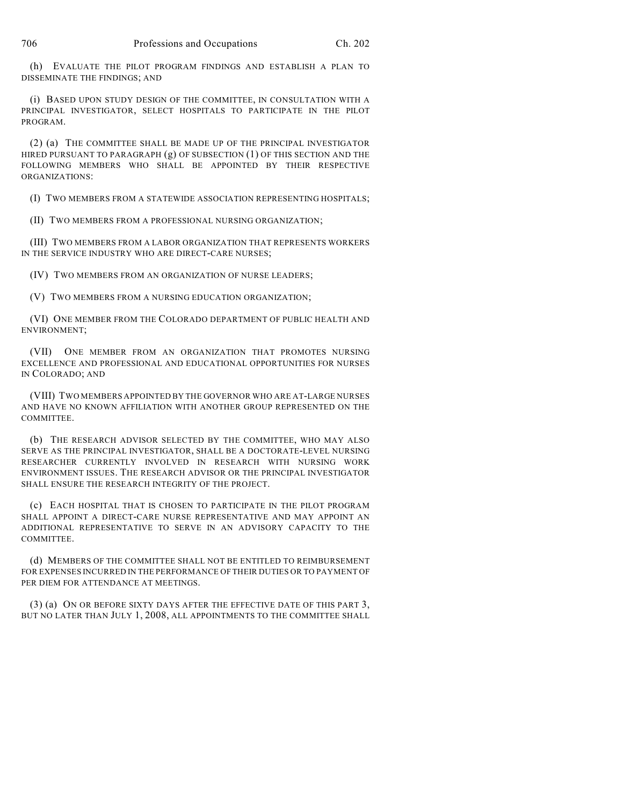(h) EVALUATE THE PILOT PROGRAM FINDINGS AND ESTABLISH A PLAN TO DISSEMINATE THE FINDINGS; AND

(i) BASED UPON STUDY DESIGN OF THE COMMITTEE, IN CONSULTATION WITH A PRINCIPAL INVESTIGATOR, SELECT HOSPITALS TO PARTICIPATE IN THE PILOT PROGRAM.

(2) (a) THE COMMITTEE SHALL BE MADE UP OF THE PRINCIPAL INVESTIGATOR HIRED PURSUANT TO PARAGRAPH (g) OF SUBSECTION (1) OF THIS SECTION AND THE FOLLOWING MEMBERS WHO SHALL BE APPOINTED BY THEIR RESPECTIVE ORGANIZATIONS:

(I) TWO MEMBERS FROM A STATEWIDE ASSOCIATION REPRESENTING HOSPITALS;

(II) TWO MEMBERS FROM A PROFESSIONAL NURSING ORGANIZATION;

(III) TWO MEMBERS FROM A LABOR ORGANIZATION THAT REPRESENTS WORKERS IN THE SERVICE INDUSTRY WHO ARE DIRECT-CARE NURSES;

(IV) TWO MEMBERS FROM AN ORGANIZATION OF NURSE LEADERS;

(V) TWO MEMBERS FROM A NURSING EDUCATION ORGANIZATION;

(VI) ONE MEMBER FROM THE COLORADO DEPARTMENT OF PUBLIC HEALTH AND ENVIRONMENT;

(VII) ONE MEMBER FROM AN ORGANIZATION THAT PROMOTES NURSING EXCELLENCE AND PROFESSIONAL AND EDUCATIONAL OPPORTUNITIES FOR NURSES IN COLORADO; AND

(VIII) TWO MEMBERS APPOINTED BY THE GOVERNOR WHO ARE AT-LARGE NURSES AND HAVE NO KNOWN AFFILIATION WITH ANOTHER GROUP REPRESENTED ON THE COMMITTEE.

(b) THE RESEARCH ADVISOR SELECTED BY THE COMMITTEE, WHO MAY ALSO SERVE AS THE PRINCIPAL INVESTIGATOR, SHALL BE A DOCTORATE-LEVEL NURSING RESEARCHER CURRENTLY INVOLVED IN RESEARCH WITH NURSING WORK ENVIRONMENT ISSUES. THE RESEARCH ADVISOR OR THE PRINCIPAL INVESTIGATOR SHALL ENSURE THE RESEARCH INTEGRITY OF THE PROJECT.

(c) EACH HOSPITAL THAT IS CHOSEN TO PARTICIPATE IN THE PILOT PROGRAM SHALL APPOINT A DIRECT-CARE NURSE REPRESENTATIVE AND MAY APPOINT AN ADDITIONAL REPRESENTATIVE TO SERVE IN AN ADVISORY CAPACITY TO THE COMMITTEE.

(d) MEMBERS OF THE COMMITTEE SHALL NOT BE ENTITLED TO REIMBURSEMENT FOR EXPENSES INCURRED IN THE PERFORMANCE OF THEIR DUTIES OR TO PAYMENT OF PER DIEM FOR ATTENDANCE AT MEETINGS.

(3) (a) ON OR BEFORE SIXTY DAYS AFTER THE EFFECTIVE DATE OF THIS PART 3, BUT NO LATER THAN JULY 1, 2008, ALL APPOINTMENTS TO THE COMMITTEE SHALL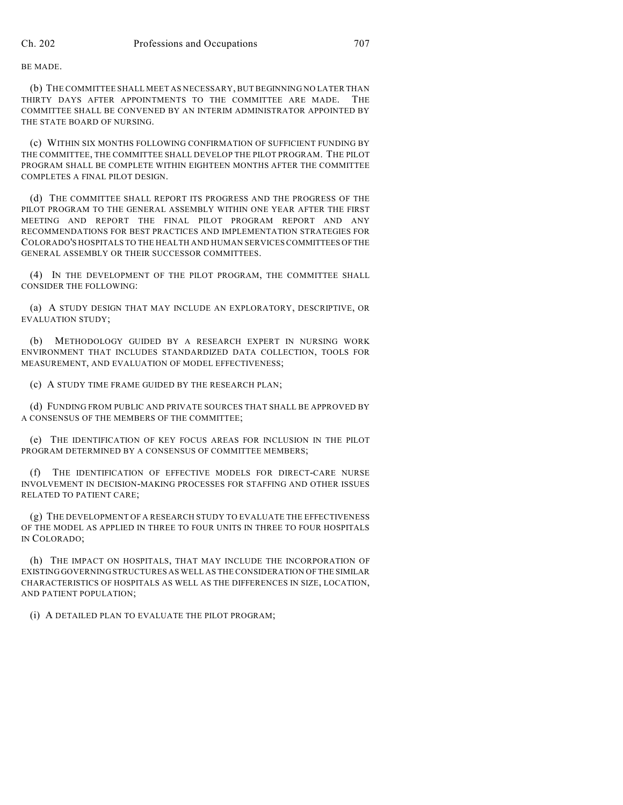BE MADE.

(b) THE COMMITTEE SHALL MEET AS NECESSARY, BUT BEGINNING NO LATER THAN THIRTY DAYS AFTER APPOINTMENTS TO THE COMMITTEE ARE MADE. THE COMMITTEE SHALL BE CONVENED BY AN INTERIM ADMINISTRATOR APPOINTED BY THE STATE BOARD OF NURSING.

(c) WITHIN SIX MONTHS FOLLOWING CONFIRMATION OF SUFFICIENT FUNDING BY THE COMMITTEE, THE COMMITTEE SHALL DEVELOP THE PILOT PROGRAM. THE PILOT PROGRAM SHALL BE COMPLETE WITHIN EIGHTEEN MONTHS AFTER THE COMMITTEE COMPLETES A FINAL PILOT DESIGN.

(d) THE COMMITTEE SHALL REPORT ITS PROGRESS AND THE PROGRESS OF THE PILOT PROGRAM TO THE GENERAL ASSEMBLY WITHIN ONE YEAR AFTER THE FIRST MEETING AND REPORT THE FINAL PILOT PROGRAM REPORT AND ANY RECOMMENDATIONS FOR BEST PRACTICES AND IMPLEMENTATION STRATEGIES FOR COLORADO'S HOSPITALS TO THE HEALTH AND HUMAN SERVICES COMMITTEES OF THE GENERAL ASSEMBLY OR THEIR SUCCESSOR COMMITTEES.

(4) IN THE DEVELOPMENT OF THE PILOT PROGRAM, THE COMMITTEE SHALL CONSIDER THE FOLLOWING:

(a) A STUDY DESIGN THAT MAY INCLUDE AN EXPLORATORY, DESCRIPTIVE, OR EVALUATION STUDY;

(b) METHODOLOGY GUIDED BY A RESEARCH EXPERT IN NURSING WORK ENVIRONMENT THAT INCLUDES STANDARDIZED DATA COLLECTION, TOOLS FOR MEASUREMENT, AND EVALUATION OF MODEL EFFECTIVENESS;

(c) A STUDY TIME FRAME GUIDED BY THE RESEARCH PLAN;

(d) FUNDING FROM PUBLIC AND PRIVATE SOURCES THAT SHALL BE APPROVED BY A CONSENSUS OF THE MEMBERS OF THE COMMITTEE;

(e) THE IDENTIFICATION OF KEY FOCUS AREAS FOR INCLUSION IN THE PILOT PROGRAM DETERMINED BY A CONSENSUS OF COMMITTEE MEMBERS;

(f) THE IDENTIFICATION OF EFFECTIVE MODELS FOR DIRECT-CARE NURSE INVOLVEMENT IN DECISION-MAKING PROCESSES FOR STAFFING AND OTHER ISSUES RELATED TO PATIENT CARE;

(g) THE DEVELOPMENT OF A RESEARCH STUDY TO EVALUATE THE EFFECTIVENESS OF THE MODEL AS APPLIED IN THREE TO FOUR UNITS IN THREE TO FOUR HOSPITALS IN COLORADO;

(h) THE IMPACT ON HOSPITALS, THAT MAY INCLUDE THE INCORPORATION OF EXISTING GOVERNING STRUCTURES AS WELL AS THE CONSIDERATION OF THE SIMILAR CHARACTERISTICS OF HOSPITALS AS WELL AS THE DIFFERENCES IN SIZE, LOCATION, AND PATIENT POPULATION;

(i) A DETAILED PLAN TO EVALUATE THE PILOT PROGRAM;